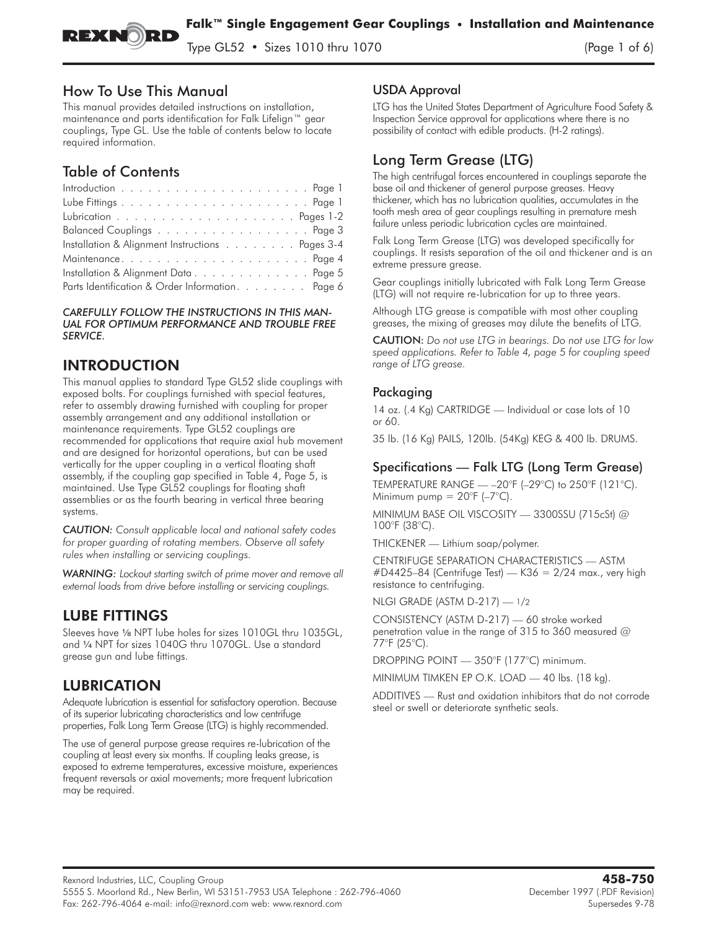

 $\frac{1}{2}$   $\frac{1}{2}$   $\frac{1}{2}$   $\frac{1}{2}$   $\frac{1}{2}$   $\frac{1}{2}$   $\frac{1}{2}$   $\frac{1}{2}$   $\frac{1}{2}$   $\frac{1}{2}$   $\frac{1}{2}$   $\frac{1}{2}$   $\frac{1}{2}$   $\frac{1}{2}$   $\frac{1}{2}$   $\frac{1}{2}$   $\frac{1}{2}$   $\frac{1}{2}$   $\frac{1}{2}$   $\frac{1}{2}$   $\frac{1}{2}$   $\frac{1}{2}$ 

### How To Use This Manual

This manual provides detailed instructions on installation, maintenance and parts identification for Falk Lifelign™ gear couplings, Type GL. Use the table of contents below to locate required information.

# Table of Contents

| Balanced Couplings Page 3                        |  |
|--------------------------------------------------|--|
| Installation & Alignment Instructions Pages 3-4  |  |
|                                                  |  |
| Installation & Alignment Data Page 5             |  |
| Parts Identification & Order Information. Page 6 |  |
|                                                  |  |

*CAREFULLY FOLLOW THE INSTRUCTIONS IN THIS MAN-UAL FOR OPTIMUM PERFORMANCE AND TROUBLE FREE SERVICE.*

# INTRODUCTION

This manual applies to standard Type GL52 slide couplings with exposed bolts. For couplings furnished with special features, refer to assembly drawing furnished with coupling for proper assembly arrangement and any additional installation or maintenance requirements. Type GL52 couplings are recommended for applications that require axial hub movement and are designed for horizontal operations, but can be used vertically for the upper coupling in a vertical floating shaft assembly, if the coupling gap specified in Table 4, Page 5, is maintained. Use Type GL52 couplings for floating shaft assemblies or as the fourth bearing in vertical three bearing systems.

*CAUTION: Consult applicable local and national safety codes for proper guarding of rotating members. Observe all safety rules when installing or servicing couplings.*

*WARNING: Lockout starting switch of prime mover and remove all external loads from drive before installing or servicing couplings.*

## LUBE FITTINGS

Sleeves have 1/8 NPT lube holes for sizes 1010GL thru 1035GL, and 1/4 NPT for sizes 1040G thru 1070GL. Use a standard grease gun and lube fittings.

# LUBRICATION

**Adequate lubrication is essential for satisfactory operation. Because of its superior lubricating characteristics and low centrifuge properties, Falk Long Term Grease (LTG) is highly recommended.**

The use of general purpose grease requires re-lubrication of the coupling at least every six months. If coupling leaks grease, is exposed to extreme temperatures, excessive moisture, experiences frequent reversals or axial movements; more frequent lubrication may be required.

### USDA Approval

**LTG has the United States Department of Agriculture Food Safety & Inspection Service approval for applications where there is no possibility of contact with edible products. (H-2 ratings).**

# Long Term Grease (LTG)

**The high centrifugal forces encountered in couplings separate the base oil and thickener of general purpose greases. Heavy thickener, which has no lubrication qualities, accumulates in the tooth mesh area of gear couplings resulting in premature mesh failure unless periodic lubrication cycles are maintained.**

**Falk Long Term Grease (LTG) was developed specifically for couplings. It resists separation of the oil and thickener and is an extreme pressure grease.**

Gear couplings initially lubricated with Falk Long Term Grease (LTG) will not require re-lubrication for up to three years.

Although LTG grease is compatible with most other coupling greases, the mixing of greases may dilute the benefits of LTG.

CAUTION: *Do not use LTG in bearings. Do not use LTG for low speed applications. Refer to Table 4, page 5 for coupling speed range of LTG grease.*

### Packaging

14 oz. (.4 Kg) CARTRIDGE — Individual or case lots of 10 or 60.

35 lb. (16 Kg) PAILS, 120lb. (54Kg) KEG & 400 lb. DRUMS.

### Specifications — Falk LTG (Long Term Grease)

**TEMPERATURE RANGE — –20°F (–29°C) to 250°F (121°C). Minimum pump = 20°F (–7°C).**

**MINIMUM BASE OIL VISCOSITY — 3300SSU (715cSt) @ 100°F (38°C).**

**THICKENER — Lithium soap/polymer.**

**CENTRIFUGE SEPARATION CHARACTERISTICS — ASTM #D4425–84 (Centrifuge Test) — K36 = 2/24 max., very high resistance to centrifuging.**

**NLGI GRADE (ASTM D-217) —** 1**/**2

**CONSISTENCY (ASTM D-217) — 60 stroke worked penetration value in the range of 315 to 360 measured @ 77°F (25°C).**

DROPPING POINT — 350°F (177°C) minimum.

**MINIMUM TIMKEN EP O.K. LOAD — 40 lbs. (18 kg).**

**ADDITIVES — Rust and oxidation inhibitors that do not corrode steel or swell or deteriorate synthetic seals.**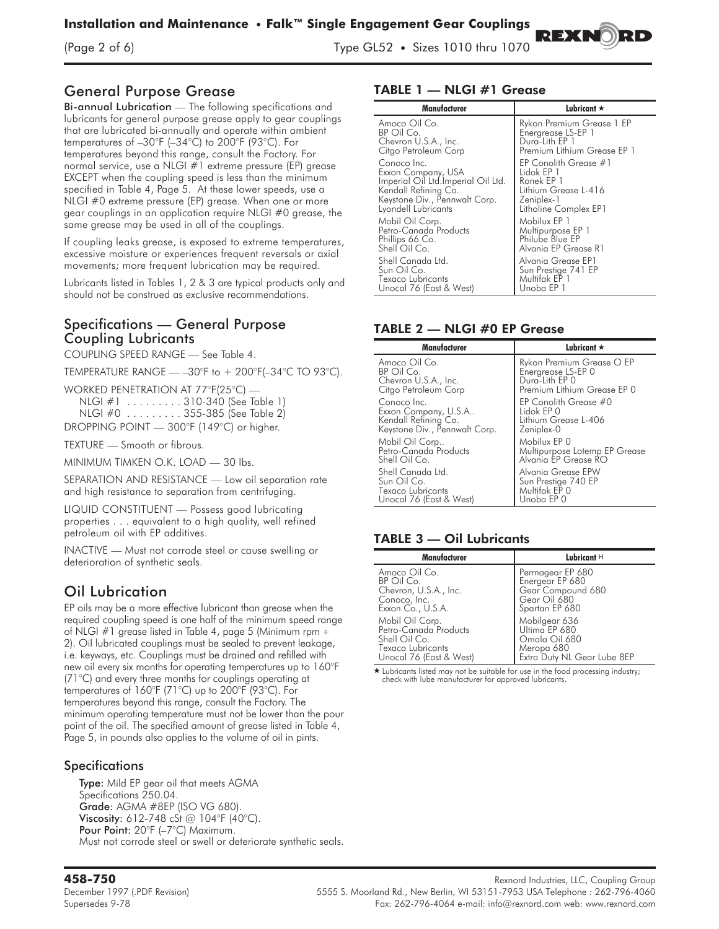$\mathcal{L}$  of  $\mathcal{L}$  of  $\mathcal{L}$  of  $\mathcal{L}$   $\mathcal{L}$   $\mathcal{L}$   $\mathcal{L}$   $\mathcal{L}$   $\mathcal{L}$   $\mathcal{L}$   $\mathcal{L}$   $\mathcal{L}$   $\mathcal{L}$   $\mathcal{L}$   $\mathcal{L}$   $\mathcal{L}$   $\mathcal{L}$   $\mathcal{L}$   $\mathcal{L}$   $\mathcal{L}$   $\mathcal{L}$   $\mathcal{L}$   $\mathcal{L}$   $\mathcal{$ 

# General Purpose Grease

Bi-annual Lubrication - The following specifications and lubricants for general purpose grease apply to gear couplings that are lubricated bi-annually and operate within ambient temperatures of –30°F (–34°C) to 200°F (93°C). For temperatures beyond this range, consult the Factory. For normal service, use a NLGI #1 extreme pressure (EP) grease EXCEPT when the coupling speed is less than the minimum specified in Table 4, Page 5. At these lower speeds, use a NLGI #0 extreme pressure (EP) grease. When one or more gear couplings in an application require NLGI #0 grease, the same grease may be used in all of the couplings.

**If coupling leaks grease, is exposed to extreme temperatures, excessive moisture or experiences frequent reversals or axial movements; more frequent lubrication may be required.**

Lubricants listed in Tables 1, 2 & 3 are typical products only and should not be construed as exclusive recommendations.

### Specifications — General Purpose Coupling Lubricants

**COUPLING SPEED RANGE — See Table 4.**

TEMPERATURE RANGE  $-$  -30°F to  $+$  200°F(-34°C TO 93°C).

WORKED PENETRATION AT 77°F(25°C) —

| NLGI #1 310-340 (See Table 1)               |  |
|---------------------------------------------|--|
| NLGI #0 355-385 (See Table 2)               |  |
| DROPPING POINT $-$ 300°F (149°C) or higher. |  |

**TEXTURE — Smooth or fibrous.**

MINIMUM TIMKEN O.K. LOAD — 30 lbs.

**SEPARATION AND RESISTANCE — Low oil separation rate and high resistance to separation from centrifuging.**

**LIQUID CONSTITUENT — Possess good lubricating properties . . . equivalent to a high quality, well refined petroleum oil with EP additives.**

INACTIVE — Must not corrode steel or cause swelling or deterioration of synthetic seals.

# Oil Lubrication

**EP oils may be a more effective lubricant than grease when the required coupling speed is one half of the minimum speed range of NLGI #1 grease listed in Table 4, page 5 (Minimum rpm** - **2). Oil lubricated couplings must be sealed to prevent leakage, i.e. keyways, etc. Couplings must be drained and refilled with new oil every six months for operating temperatures up to 160°F (71°C) and every three months for couplings operating at temperatures of 160°F (71°C) up to 200°F (93°C). For temperatures beyond this range, consult the Factory. The minimum operating temperature must not be lower than the pour point of the oil. The specified amount of grease listed in Table 4, Page 5, in pounds also applies to the volume of oil in pints.**

### **Specifications**

Type: Mild EP gear oil that meets AGMA Specifications 250.04. Grade: AGMA #8EP (ISO VG 680). Viscosity: 612-748 cSt @ 104°F (40°C). Pour Point: 20°F (-7°C) Maximum. Must not corrode steel or swell or deteriorate synthetic seals.

### TABLE 1 — NLGI #1 Grease

| Manufacturer                       | Lubricant $\star$           |
|------------------------------------|-----------------------------|
| Amoco Oil Co.                      | Rykon Premium Grease 1 EP   |
| BP Oil Co.                         | Energrease LS-EP 1          |
| Chevron U.S.A., Inc.               | Dura-Lith EP 1              |
| Citgo Petroleum Corp               | Premium Lithium Grease EP 1 |
| Conoco Inc.                        | EP Conolith Grease #1       |
| Exxon Company, USA                 | Lidok EP 1                  |
| Imperial Oil Ltd.Imperial Oil Ltd. | Ronek EP 1                  |
| Kendall Refining Co.               | Lithium Grease L-416        |
| Keystone Div., Pennwalt Corp.      | Zeniplex-1                  |
| Lyondell Lubricants                | Litholine Complex EP1       |
| Mobil Oil Corp.                    | Mobilux EP 1                |
| Petro-Canada Products              | Multipurpose EP 1           |
| Phillips 66 Co.                    | Philube Blue EP             |
| Shell Oil Co.                      | Alvania EP Grease R1        |
| Shell Canada Ltd.                  | Alvania Grease EP1          |
| Sun Oil Co.                        | Sun Prestige 741 EP         |
| Texaco Lubricants                  | Multifak EP 1               |
| Unocal 76 (East & West)            | Unoba EP 1                  |

REXNO)

### TABLE 2 — NLGI #0 EP Grease

| Manufacturer                                                                            | Lubricant $\star$                                                        |
|-----------------------------------------------------------------------------------------|--------------------------------------------------------------------------|
| Amoco Oil Co.                                                                           | Rykon Premium Grease O EP                                                |
| BP Oil Co.                                                                              | Energrease LS-EP 0                                                       |
| Chevron U.S.A., Inc.                                                                    | Durg-Lith EP 0                                                           |
| Citgo Petroleum Corp                                                                    | Premium Lithium Grease EP 0                                              |
| Conoco Inc.                                                                             | EP Conolith Grease #0                                                    |
| Exxon Company, U.S.A                                                                    | Lidok EP 0                                                               |
| Kendall Refining Co.                                                                    | Lithium Grease L-406                                                     |
| Keystone Div., Pennwalt Corp.                                                           | Zeniplex-0                                                               |
| Mobil Oil Corp                                                                          | Mobilux EP 0                                                             |
| Petro-Canada Products                                                                   | Multipurpose Lotemp EP Grease                                            |
| Shell Oil Co.                                                                           | Alvania EP Grease RO                                                     |
| Shell Canada Ltd.<br>Sun Oil Co.<br><b>Texaco Lubricants</b><br>Unocal 76 (East & West) | Alvania Grease EPW<br>Sun Prestige 740 EP<br>Multifak EP 0<br>Unoba EP 0 |

### TABLE 3 — Oil Lubricants

| Manufacturer                                                                                              | Lubricant $H$                                                                                |
|-----------------------------------------------------------------------------------------------------------|----------------------------------------------------------------------------------------------|
| Amoco Oil Co.<br>BP Oil Co.<br>Chevron, U.S.A., Inc.<br>Conoco, Inc.<br>Exxon Co., U.S.A.                 | Permagear EP 680<br>Energear EP 680<br>Gear Compound 680<br>Gear Oil 680<br>Spartan EP 680   |
| Mobil Oil Corp.<br>Petro-Canada Products<br>Shell Oil Co.<br>Texaco Lubricants<br>Unocal 76 (East & West) | Mobilgear 636<br>Ultima EP 680<br>Omala Oil 680<br>Meropa 680<br>Extra Duty NL Gear Lube 8EP |

\* Lubricants listed may not be suitable for use in the food processing industry; check with lube manufacturer for approved lubricants.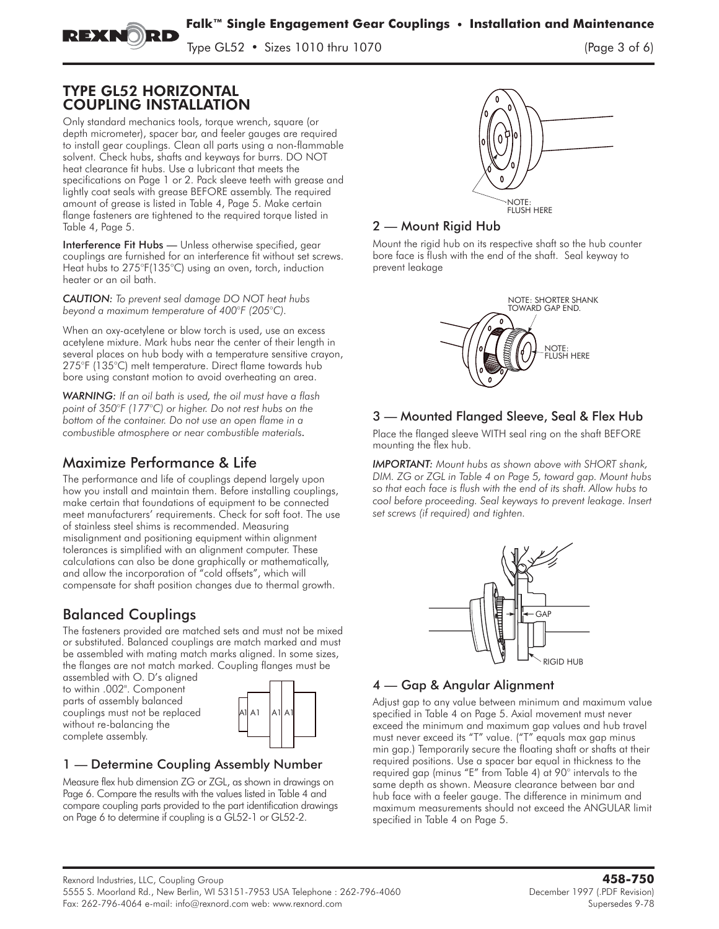$\frac{1}{2}$   $\frac{1}{2}$   $\frac{1}{2}$   $\frac{1}{2}$   $\frac{1}{2}$   $\frac{1}{2}$   $\frac{1}{2}$   $\frac{1}{2}$   $\frac{1}{2}$   $\frac{1}{2}$   $\frac{1}{2}$   $\frac{1}{2}$   $\frac{1}{2}$   $\frac{1}{2}$   $\frac{1}{2}$   $\frac{1}{2}$   $\frac{1}{2}$   $\frac{1}{2}$   $\frac{1}{2}$   $\frac{1}{2}$   $\frac{1}{2}$   $\frac{1}{2}$ 

### TYPE GL52 HORIZONTAL COUPLING INSTALLATION

**Only standard mechanics tools, torque wrench, square (or depth micrometer), spacer bar, and feeler gauges are required to install gear couplings. Clean all parts using a non-flammable solvent. Check hubs, shafts and keyways for burrs. DO NOT heat clearance fit hubs. Use a lubricant that meets the specifications on Page 1 or 2. Pack sleeve teeth with grease and lightly coat seals with grease BEFORE assembly. The required amount of grease is listed in Table 4, Page 5. Make certain flange fasteners are tightened to the required torque listed in Table 4, Page 5.**

Interference Fit Hubs — Unless otherwise specified, gear couplings are furnished for an interference fit without set screws. Heat hubs to 275°F(135°C) using an oven, torch, induction heater or an oil bath.

*CAUTION: To prevent seal damage DO NOT heat hubs beyond a maximum temperature of 400°F (205°C).*

**When an oxy-acetylene or blow torch is used, use an excess acetylene mixture. Mark hubs near the center of their length in several places on hub body with a temperature sensitive crayon, 275°F (135°C) melt temperature. Direct flame towards hub bore using constant motion to avoid overheating an area.**

*WARNING: If an oil bath is used, the oil must have a flash point of 350°F (177°C) or higher. Do not rest hubs on the bottom of the container. Do not use an open flame in a combustible atmosphere or near combustible materials.*

# Maximize Performance & Life

**The performance and life of couplings depend largely upon how you install and maintain them. Before installing couplings, make certain that foundations of equipment to be connected meet manufacturers' requirements. Check for soft foot. The use of stainless steel shims is recommended. Measuring misalignment and positioning equipment within alignment tolerances is simplified with an alignment computer. These calculations can also be done graphically or mathematically, and allow the incorporation of "cold offsets", which will compensate for shaft position changes due to thermal growth.**

# Balanced Couplings

The fasteners provided are matched sets and must not be mixed or substituted. Balanced couplings are match marked and must be assembled with mating match marks aligned. In some sizes, the flanges are not match marked. Coupling flanges must be

assembled with O. D's aligned to within .002". Component parts of assembly balanced couplings must not be replaced without re-balancing the complete assembly.



### 1 — Determine Coupling Assembly Number

Measure flex hub dimension ZG or ZGL, as shown in drawings on Page 6. Compare the results with the values listed in Table 4 and compare coupling parts provided to the part identification drawings on Page 6 to determine if coupling is a GL52-1 or GL52-2.



### 2 — Mount Rigid Hub

Mount the rigid hub on its respective shaft so the hub counter bore face is flush with the end of the shaft. Seal keyway to prevent leakage



# 3 — Mounted Flanged Sleeve, Seal & Flex Hub

Place the flanged sleeve WITH seal ring on the shaft BEFORE mounting the flex hub.

*IMPORTANT: Mount hubs as shown above with SHORT shank, DIM. ZG or ZGL in Table 4 on Page 5, toward gap. Mount hubs so that each face is flush with the end of its shaft. Allow hubs to cool before proceeding. Seal keyways to prevent leakage. Insert set screws (if required) and tighten.*



## 4 — Gap & Angular Alignment

**Adjust gap to any value between minimum and maximum value specified in Table 4 on Page 5. Axial movement must never exceed the minimum and maximum gap values and hub travel must never exceed its "T" value. ("T" equals max gap minus min gap.) Temporarily secure the floating shaft or shafts at their required positions. Use a spacer bar equal in thickness to the required gap (minus "E" from Table 4) at 90° intervals to the same depth as shown. Measure clearance between bar and hub face with a feeler gauge. The difference in minimum and maximum measurements should not exceed the ANGULAR limit specified in Table 4 on Page 5.**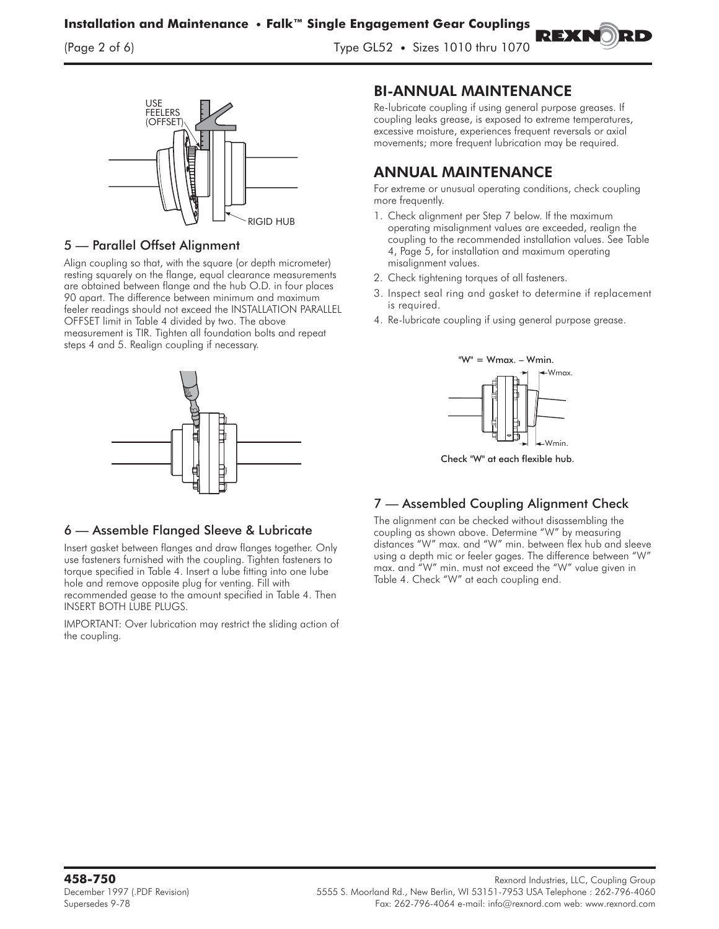$\mathcal{L}$  of  $\mathcal{L}$  of  $\mathcal{L}$  of  $\mathcal{L}$   $\mathcal{L}$   $\mathcal{L}$   $\mathcal{L}$   $\mathcal{L}$   $\mathcal{L}$   $\mathcal{L}$   $\mathcal{L}$   $\mathcal{L}$   $\mathcal{L}$   $\mathcal{L}$   $\mathcal{L}$   $\mathcal{L}$   $\mathcal{L}$   $\mathcal{L}$   $\mathcal{L}$   $\mathcal{L}$   $\mathcal{L}$   $\mathcal{L}$   $\mathcal{L}$   $\mathcal{$ 



### 5 — Parallel Offset Alignment

Align coupling so that, with the square (or depth micrometer) resting squarely on the flange, equal clearance measurements are obtained between flange and the hub O.D. in four places 90 apart. The difference between minimum and maximum feeler readings should not exceed the INSTALLATION PARALLEL OFFSET limit in Table 4 divided by two. The above measurement is TIR. Tighten all foundation bolts and repeat steps 4 and 5. Realign coupling if necessary.



### 6 — Assemble Flanged Sleeve & Lubricate

Insert gasket between flanges and draw flanges together. Only use fasteners furnished with the coupling. Tighten fasteners to torque specified in Table 4. Insert a lube fitting into one lube hole and remove opposite plug for venting. Fill with recommended gease to the amount specified in Table 4. Then INSERT BOTH LUBE PLUGS.

IMPORTANT: Over lubrication may restrict the sliding action of the coupling.

### BI-ANNUAL MAINTENANCE

Re-lubricate coupling if using general purpose greases. If coupling leaks grease, is exposed to extreme temperatures, excessive moisture, experiences frequent reversals or axial movements; more frequent lubrication may be required.

**REXI** 

# ANNUAL MAINTENANCE

**For extreme or unusual operating conditions, check coupling more frequently.**

- **1. Check alignment per Step 7 below. If the maximum operating misalignment values are exceeded, realign the coupling to the recommended installation values. See Table 4, Page 5, for installation and maximum operating misalignment values.**
- **2. Check tightening torques of all fasteners.**
- **3. Inspect seal ring and gasket to determine if replacement is required.**
- **4. Re-lubricate coupling if using general purpose grease.**



.<br>Check "W" at each flexible hub.

# 7 — Assembled Coupling Alignment Check

The alignment can be checked without disassembling the coupling as shown above. Determine "W" by measuring distances "W" max. and "W" min. between flex hub and sleeve using a depth mic or feeler gages. The difference between "W" max. and "W" min. must not exceed the "W" value given in Table 4. Check "W" at each coupling end.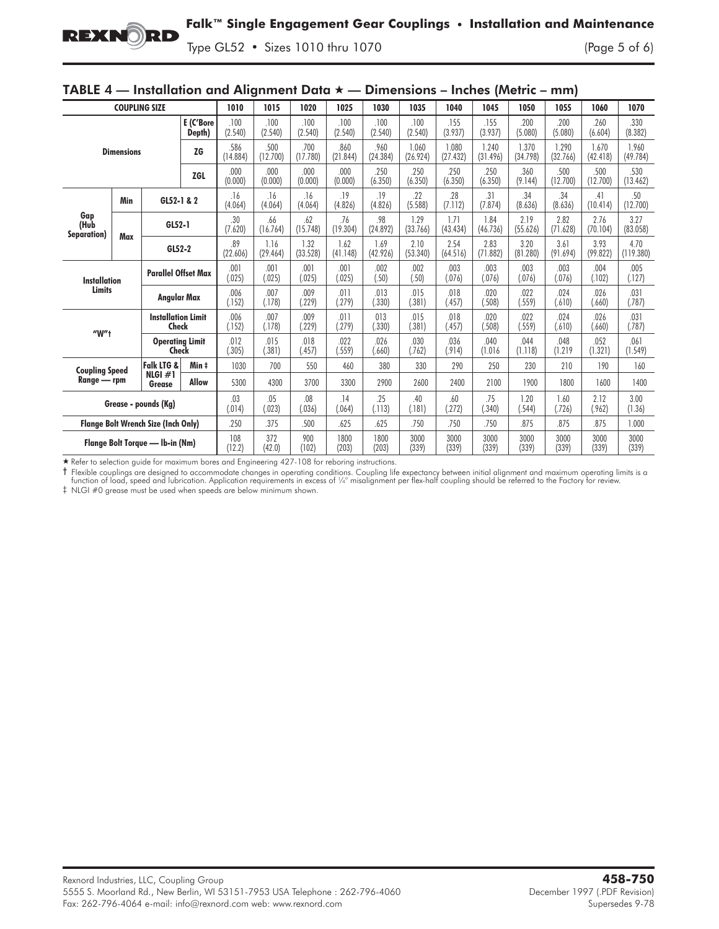### **Falk™ Single Engagement Gear Couplings • Installation and Maintenance**

 $\frac{1}{2}$   $\frac{1}{2}$   $\frac{1}{2}$   $\frac{1}{2}$   $\frac{1}{2}$   $\frac{1}{2}$   $\frac{1}{2}$   $\frac{1}{2}$   $\frac{1}{2}$   $\frac{1}{2}$   $\frac{1}{2}$   $\frac{1}{2}$   $\frac{1}{2}$   $\frac{1}{2}$   $\frac{1}{2}$   $\frac{1}{2}$   $\frac{1}{2}$   $\frac{1}{2}$   $\frac{1}{2}$   $\frac{1}{2}$   $\frac{1}{2}$   $\frac{1}{2}$ 

| $I$ $I$ $I$ $I$ $I$ $I$ $I$ $I$ $I$ $I$ $I$<br>$\frac{1}{2}$ instantation and Angimment Data $\lambda$ — Dimensions<br>$-$ menes <i>premie</i><br>,,,,,,, |     |                                    |                            |                  |                  |                  |                  |                   |                   |                   |                   |                   |                   |                   |                   |
|-----------------------------------------------------------------------------------------------------------------------------------------------------------|-----|------------------------------------|----------------------------|------------------|------------------|------------------|------------------|-------------------|-------------------|-------------------|-------------------|-------------------|-------------------|-------------------|-------------------|
| <b>COUPLING SIZE</b>                                                                                                                                      |     |                                    | 1010                       | 1015             | 1020             | 1025             | 1030             | 1035              | 1040              | 1045              | 1050              | 1055              | 1060              | 1070              |                   |
| E (C'Bore<br>Depth)                                                                                                                                       |     |                                    |                            | .100<br>(2.540)  | .100<br>(2.540)  | .100<br>(2.540)  | .100<br>(2.540)  | .100<br>(2.540)   | .100<br>(2.540)   | .155<br>(3.937)   | .155<br>(3.937)   | .200<br>(5.080)   | .200<br>(5.080)   | .260<br>(6.604)   | .330<br>(8.382)   |
| <b>ZG</b><br><b>Dimensions</b><br><b>ZGL</b>                                                                                                              |     |                                    | .586<br>(14.884)           | .500<br>(12.700) | .700<br>(17.780) | .860<br>(21.844) | .960<br>(24.384) | 1.060<br>(26.924) | 1.080<br>(27.432) | 1.240<br>(31.496) | 1.370<br>(34.798) | 1.290<br>(32.766) | 1.670<br>(42.418) | 1.960<br>(49.784) |                   |
|                                                                                                                                                           |     |                                    | .000<br>(0.000)            | .000<br>(0.000)  | .000<br>(0.000)  | .000<br>(0.000)  | .250<br>(6.350)  | .250<br>(6.350)   | .250<br>(6.350)   | .250<br>(6.350)   | .360<br>(9.144)   | .500<br>(12.700)  | .500<br>(12.700)  | .530<br>(13.462)  |                   |
| Gap<br>(Hub<br>Separation)                                                                                                                                | Min | GL52-1 & 2                         |                            | .16<br>(4.064)   | .16<br>(4.064)   | .16<br>(4.064)   | .19<br>(4.826)   | .19<br>(4.826)    | .22<br>(5.588)    | .28<br>(7.112)    | .31<br>(7.874)    | .34<br>(8.636)    | .34<br>(8.636)    | .41<br>(10.414)   | .50<br>(12.700)   |
|                                                                                                                                                           | Max | GL52-1                             |                            | .30<br>(7.620)   | .66<br>(16.764)  | .62<br>(15.748)  | .76<br>(19.304)  | .98<br>(24.892)   | 1.29<br>(33.766)  | 1.71<br>(43.434)  | 1.84<br>(46.736)  | 2.19<br>(55.626)  | 2.82<br>(71.628)  | 2.76<br>(70.104)  | 3.27<br>(83.058)  |
|                                                                                                                                                           |     | GL52-2                             |                            | .89<br>(22.606)  | 1.16<br>(29.464) | 1.32<br>(33.528) | 1.62<br>(41.148) | 1.69<br>(42.926)  | 2.10<br>(53.340)  | 2.54<br>(64.516)  | 2.83<br>(71.882)  | 3.20<br>(81.280)  | 3.61<br>(91.694)  | 3.93<br>(99.822)  | 4.70<br>(119.380) |
| <b>Installation</b><br><b>Limits</b>                                                                                                                      |     |                                    | <b>Parallel Offset Max</b> |                  | .001<br>(.025)   | .001<br>(.025)   | .001<br>(.025)   | .002<br>(.50)     | .002<br>(.50)     | .003<br>(.076)    | .003<br>(.076)    | .003<br>(.076)    | .003<br>(.076)    | .004<br>(.102)    | .005<br>(.127)    |
|                                                                                                                                                           |     | Angular Max                        |                            | .006<br>(.152)   | .007<br>(.178)   | .009<br>(229)    | .011<br>(.279)   | .013<br>(.330)    | .015<br>(.381)    | .018<br>(.457)    | .020<br>(.508)    | .022<br>(.559)    | .024<br>(.610)    | .026<br>(.660)    | .031<br>(.787)    |
| $W''$ t                                                                                                                                                   |     | <b>Installation Limit</b><br>Check |                            | .006<br>(.152)   | .007<br>(.178)   | .009<br>(.229)   | .011<br>(.279)   | 013<br>(.330)     | .015<br>(.381)    | .018<br>(.457)    | .020<br>(.508)    | .022<br>(.559)    | .024<br>(.610)    | .026<br>(.660)    | .031<br>(.787)    |
|                                                                                                                                                           |     | <b>Operating Limit</b><br>Check    |                            | .012<br>(.305)   | .015<br>(.381)   | .018<br>(.457)   | .022<br>(.559)   | .026<br>(.660)    | .030<br>(.762)    | .036<br>(.914)    | .040<br>(1.016)   | .044<br>(1.118)   | .048<br>(1.219)   | .052<br>(1.321)   | .061<br>(1.549)   |
| <b>Coupling Speed</b><br>Range - rpm                                                                                                                      |     | Falk LTG &                         | Min ‡                      | 1030             | 700              | 550              | 460              | 380               | 330               | 290               | 250               | 230               | 210               | 190               | 160               |
|                                                                                                                                                           |     | NLGI $#1$<br>Grease                | <b>Allow</b>               | 5300             | 4300             | 3700             | 3300             | 2900              | 2600              | 2400              | 2100              | 1900              | 1800              | 1600              | 1400              |
| Grease - pounds (Kg)                                                                                                                                      |     |                                    | .03<br>(.014)              | .05<br>(023)     | .08<br>(.036)    | .14<br>(.064)    | .25<br>(.113)    | .40<br>(.181)     | .60<br>(.272)     | .75<br>(.340)     | 1.20<br>(.544)    | 1.60<br>(726)     | 2.12<br>(.962)    | 3.00<br>(1.36)    |                   |
| <b>Flange Bolt Wrench Size (Inch Only)</b>                                                                                                                |     |                                    | .250                       | .375             | .500             | .625             | .625             | .750              | .750              | .750              | .875              | .875              | .875              | 1.000             |                   |
| Flange Bolt Torque - Ib-in (Nm)                                                                                                                           |     | 108<br>(12.2)                      | 372<br>(42.0)              | 900<br>(102)     | 1800<br>(203)    | 1800<br>(203)    | 3000<br>(339)    | 3000<br>(339)     | 3000<br>(339)     | 3000<br>(339)     | 3000<br>(339)     | 3000<br>(339)     | 3000<br>(339)     |                   |                   |

#### TARLE  $A =$  Installation and Alianment Data  $\rightarrow$ — Dimensions – Inches (Metric – mm)

- Refer to selection guide for maximum bores and Engineering 427-108 for reboring instructions.

† Flexible couplings are designed to accommodate changes in operating conditions. Coupling life expectancy between initial alignment and maximum operating limits is a<br>function of load, speed and lubrication. Application re

‡ NLGI #0 grease must be used when speeds are below minimum shown.

**REXNORD**